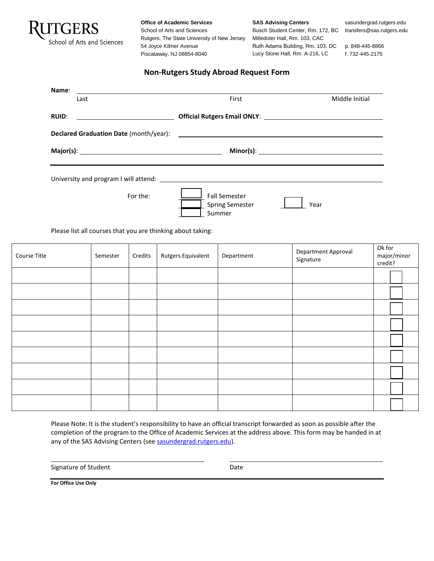

**Office of Academic Services** School of Arts and Sciences Rutgers, The State University of New Jersey 54 Joyce Kilmer Avenue Piscataway, NJ 08854-8040

**SAS Advising Centers**  Busch Student Center, Rm. 172, BC transfers@sas.rutgers.edu Milledoler Hall, Rm. 103, CAC Ruth Adams Building, Rm. 103, DC Lucy Stone Hall, Rm. A-216, LC

sasundergrad.rutgers.edu

p. 848-445-8866 f. 732-445-2175

## **Non-Rutgers Study Abroad Request Form**

| Name:        |                                                          |                |
|--------------|----------------------------------------------------------|----------------|
| Last         | First                                                    | Middle Initial |
| <b>RUID:</b> |                                                          |                |
|              |                                                          |                |
|              |                                                          | $Minor(s)$ :   |
|              |                                                          |                |
| For the:     | <b>Fall Semester</b><br><b>Spring Semester</b><br>Summer | Year           |

Please list all courses that you are thinking about taking:

| Course Title | Semester | Credits | Rutgers Equivalent | Department | Department Approval<br>Signature | Ok for<br>major/minor<br>credit? |
|--------------|----------|---------|--------------------|------------|----------------------------------|----------------------------------|
|              |          |         |                    |            |                                  |                                  |
|              |          |         |                    |            |                                  |                                  |
|              |          |         |                    |            |                                  |                                  |
|              |          |         |                    |            |                                  |                                  |
|              |          |         |                    |            |                                  |                                  |
|              |          |         |                    |            |                                  |                                  |
|              |          |         |                    |            |                                  |                                  |
|              |          |         |                    |            |                                  |                                  |
|              |          |         |                    |            |                                  |                                  |

Please Note: It is the student's responsibility to have an official transcript forwarded as soon as possible after the completion of the program to the Office of Academic Services at the address above. This form may be handed in at any of the SAS Advising Centers (se[e sasundergrad.rutgers.edu\)](http://sasundergrad.rutgers.edu/).

Signature of Student **Date** 

**For Office Use Only**